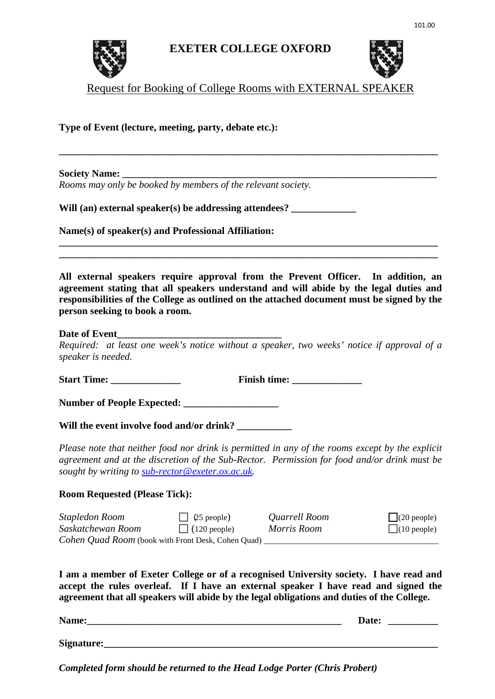

## **EXETER COLLEGE OXFORD**



Request for Booking of College Rooms with EXTERNAL SPEAKER

**\_\_\_\_\_\_\_\_\_\_\_\_\_\_\_\_\_\_\_\_\_\_\_\_\_\_\_\_\_\_\_\_\_\_\_\_\_\_\_\_\_\_\_\_\_\_\_\_\_\_\_\_\_\_\_\_\_\_\_\_\_\_\_\_\_\_\_\_\_\_\_\_\_\_\_\_** 

**Type of Event (lecture, meeting, party, debate etc.):**

**Society Name:** 

*Rooms may only be booked by members of the relevant society.*

Will (an) external speaker(s) be addressing attendees?

**Name(s) of speaker(s) and Professional Affiliation:** 

**All external speakers require approval from the Prevent Officer. In addition, an agreement stating that all speakers understand and will abide by the legal duties and responsibilities of the College as outlined on the attached document must be signed by the person seeking to book a room.**

**\_\_\_\_\_\_\_\_\_\_\_\_\_\_\_\_\_\_\_\_\_\_\_\_\_\_\_\_\_\_\_\_\_\_\_\_\_\_\_\_\_\_\_\_\_\_\_\_\_\_\_\_\_\_\_\_\_\_\_\_\_\_\_\_\_\_\_\_\_\_\_\_\_\_\_\_ \_\_\_\_\_\_\_\_\_\_\_\_\_\_\_\_\_\_\_\_\_\_\_\_\_\_\_\_\_\_\_\_\_\_\_\_\_\_\_\_\_\_\_\_\_\_\_\_\_\_\_\_\_\_\_\_\_\_\_\_\_\_\_\_\_\_\_\_\_\_\_\_\_\_\_\_** 

## **Date of Event**

*Required: at least one week's notice without a speaker, two weeks' notice if approval of a speaker is needed.*

**Start Time: \_\_\_\_\_\_\_\_\_\_\_\_\_\_ Finish time: \_\_\_\_\_\_\_\_\_\_\_\_\_\_** 

Number of People Expected:

Will the event involve food and/or drink? \_\_\_\_\_\_\_

*Please note that neither food nor drink is permitted in any of the rooms except by the explicit agreement and at the discretion of the Sub-Rector. Permission for food and/or drink must be sought by writing to [sub-rector@exeter.ox.ac.uk.](mailto:sub-rector@exeter.ox.ac.uk)*

## **Room Requested (Please Tick):**

*Stapledon Room* (25 people) *Quarrell Room* (20 people) *Saskatchewan Room* (120 people) *Morris Room* (10 people) *Cohen Quad Room* (book with Front Desk, Cohen Quad)

**I am a member of Exeter College or of a recognised University society. I have read and accept the rules overleaf. If I have an external speaker I have read and signed the agreement that all speakers will abide by the legal obligations and duties of the College.** 

| Name:      | Date: |  |
|------------|-------|--|
|            |       |  |
| Signature: |       |  |

*Completed form should be returned to the Head Lodge Porter (Chris Probert)*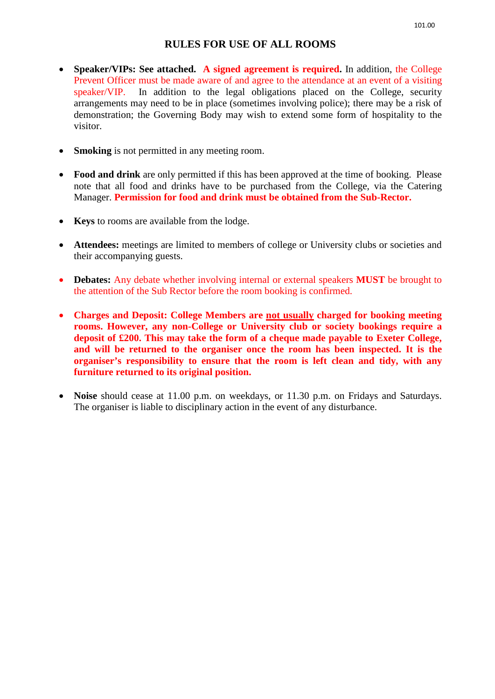## **RULES FOR USE OF ALL ROOMS**

- **Speaker/VIPs: See attached. A signed agreement is required.** In addition, the College Prevent Officer must be made aware of and agree to the attendance at an event of a visiting speaker/VIP. In addition to the legal obligations placed on the College, security arrangements may need to be in place (sometimes involving police); there may be a risk of demonstration; the Governing Body may wish to extend some form of hospitality to the visitor.
- **Smoking** is not permitted in any meeting room.
- **Food and drink** are only permitted if this has been approved at the time of booking. Please note that all food and drinks have to be purchased from the College, via the Catering Manager. **Permission for food and drink must be obtained from the Sub-Rector.**
- **Keys** to rooms are available from the lodge.
- **Attendees:** meetings are limited to members of college or University clubs or societies and their accompanying guests.
- **Debates:** Any debate whether involving internal or external speakers **MUST** be brought to the attention of the Sub Rector before the room booking is confirmed.
- **Charges and Deposit: College Members are not usually charged for booking meeting rooms. However, any non-College or University club or society bookings require a deposit of £200. This may take the form of a cheque made payable to Exeter College, and will be returned to the organiser once the room has been inspected. It is the organiser's responsibility to ensure that the room is left clean and tidy, with any furniture returned to its original position.**
- **Noise** should cease at 11.00 p.m. on weekdays, or 11.30 p.m. on Fridays and Saturdays. The organiser is liable to disciplinary action in the event of any disturbance.